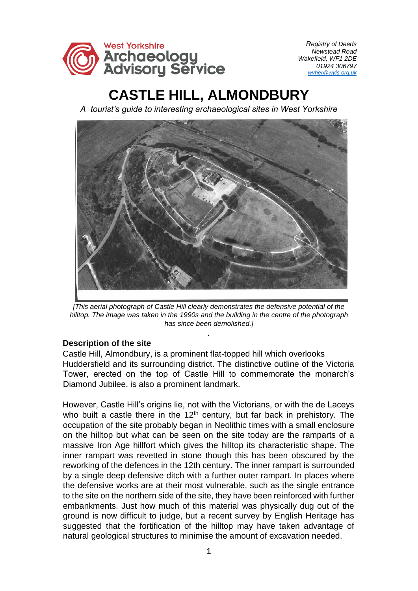

# **CASTLE HILL, ALMONDBURY**

*A tourist's guide to interesting archaeological sites in West Yorkshire* 



*[This aerial photograph of Castle Hill clearly demonstrates the defensive potential of the hilltop. The image was taken in the 1990s and the building in the centre of the photograph has since been demolished.]*

*.* 

## **Description of the site**

Castle Hill, Almondbury, is a prominent flat-topped hill which overlooks Huddersfield and its surrounding district. The distinctive outline of the Victoria Tower, erected on the top of Castle Hill to commemorate the monarch's Diamond Jubilee, is also a prominent landmark.

However, Castle Hill's origins lie, not with the Victorians, or with the de Laceys who built a castle there in the  $12<sup>th</sup>$  century, but far back in prehistory. The occupation of the site probably began in Neolithic times with a small enclosure on the hilltop but what can be seen on the site today are the ramparts of a massive Iron Age hillfort which gives the hilltop its characteristic shape. The inner rampart was revetted in stone though this has been obscured by the reworking of the defences in the 12th century. The inner rampart is surrounded by a single deep defensive ditch with a further outer rampart. In places where the defensive works are at their most vulnerable, such as the single entrance to the site on the northern side of the site, they have been reinforced with further embankments. Just how much of this material was physically dug out of the ground is now difficult to judge, but a recent survey by English Heritage has suggested that the fortification of the hilltop may have taken advantage of natural geological structures to minimise the amount of excavation needed.